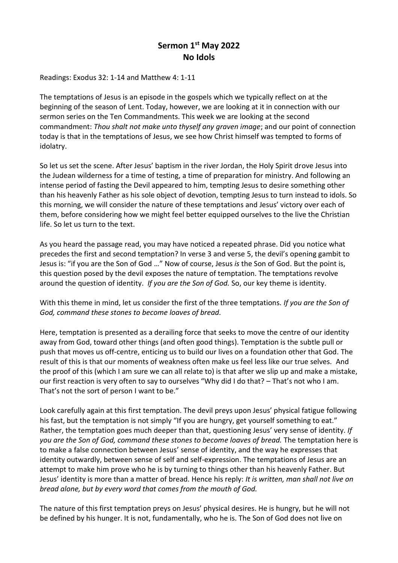## **Sermon 1st May 2022 No Idols**

Readings: Exodus 32: 1-14 and Matthew 4: 1-11

The temptations of Jesus is an episode in the gospels which we typically reflect on at the beginning of the season of Lent. Today, however, we are looking at it in connection with our sermon series on the Ten Commandments. This week we are looking at the second commandment: *Thou shalt not make unto thyself any graven image*; and our point of connection today is that in the temptations of Jesus, we see how Christ himself was tempted to forms of idolatry.

So let us set the scene. After Jesus' baptism in the river Jordan, the Holy Spirit drove Jesus into the Judean wilderness for a time of testing, a time of preparation for ministry. And following an intense period of fasting the Devil appeared to him, tempting Jesus to desire something other than his heavenly Father as his sole object of devotion, tempting Jesus to turn instead to idols. So this morning, we will consider the nature of these temptations and Jesus' victory over each of them, before considering how we might feel better equipped ourselves to the live the Christian life. So let us turn to the text.

As you heard the passage read, you may have noticed a repeated phrase. Did you notice what precedes the first and second temptation? In verse 3 and verse 5, the devil's opening gambit to Jesus is: "if you are the Son of God …" Now of course, Jesus *is* the Son of God. But the point is, this question posed by the devil exposes the nature of temptation. The temptations revolve around the question of identity. *If you are the Son of God.* So, our key theme is identity.

With this theme in mind, let us consider the first of the three temptations. *If you are the Son of God, command these stones to become loaves of bread.* 

Here, temptation is presented as a derailing force that seeks to move the centre of our identity away from God, toward other things (and often good things). Temptation is the subtle pull or push that moves us off-centre, enticing us to build our lives on a foundation other that God. The result of this is that our moments of weakness often make us feel less like our true selves. And the proof of this (which I am sure we can all relate to) is that after we slip up and make a mistake, our first reaction is very often to say to ourselves "Why did I do that? – That's not who I am. That's not the sort of person I want to be."

Look carefully again at this first temptation. The devil preys upon Jesus' physical fatigue following his fast, but the temptation is not simply "If you are hungry, get yourself something to eat." Rather, the temptation goes much deeper than that, questioning Jesus' very sense of identity. *If you are the Son of God, command these stones to become loaves of bread.* The temptation here is to make a false connection between Jesus' sense of identity, and the way he expresses that identity outwardly, between sense of self and self-expression. The temptations of Jesus are an attempt to make him prove who he is by turning to things other than his heavenly Father. But Jesus' identity is more than a matter of bread. Hence his reply: *It is written, man shall not live on bread alone, but by every word that comes from the mouth of God.* 

The nature of this first temptation preys on Jesus' physical desires. He is hungry, but he will not be defined by his hunger. It is not, fundamentally, who he is. The Son of God does not live on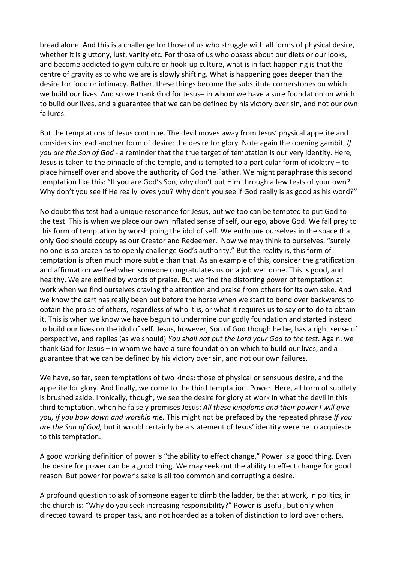bread alone. And this is a challenge for those of us who struggle with all forms of physical desire, whether it is gluttony, lust, vanity etc. For those of us who obsess about our diets or our looks, and become addicted to gym culture or hook-up culture, what is in fact happening is that the centre of gravity as to who we are is slowly shifting. What is happening goes deeper than the desire for food or intimacy. Rather, these things become the substitute cornerstones on which we build our lives. And so we thank God for Jesus– in whom we have a sure foundation on which to build our lives, and a guarantee that we can be defined by his victory over sin, and not our own failures.

But the temptations of Jesus continue. The devil moves away from Jesus' physical appetite and considers instead another form of desire: the desire for glory. Note again the opening gambit, *If you are the Son of God* - a reminder that the true target of temptation is our very identity. Here, Jesus is taken to the pinnacle of the temple, and is tempted to a particular form of idolatry – to place himself over and above the authority of God the Father. We might paraphrase this second temptation like this: "If you are God's Son, why don't put Him through a few tests of your own? Why don't you see if He really loves you? Why don't you see if God really is as good as his word?"

No doubt this test had a unique resonance for Jesus, but we too can be tempted to put God to the test. This is when we place our own inflated sense of self, our ego, above God. We fall prey to this form of temptation by worshipping the idol of self. We enthrone ourselves in the space that only God should occupy as our Creator and Redeemer. Now we may think to ourselves, "surely no one is so brazen as to openly challenge God's authority." But the reality is, this form of temptation is often much more subtle than that. As an example of this, consider the gratification and affirmation we feel when someone congratulates us on a job well done. This is good, and healthy. We are edified by words of praise. But we find the distorting power of temptation at work when we find ourselves craving the attention and praise from others for its own sake. And we know the cart has really been put before the horse when we start to bend over backwards to obtain the praise of others, regardless of who it is, or what it requires us to say or to do to obtain it. This is when we know we have begun to undermine our godly foundation and started instead to build our lives on the idol of self. Jesus, however, Son of God though he be, has a right sense of perspective, and replies (as we should) *You shall not put the Lord your God to the test*. Again, we thank God for Jesus – in whom we have a sure foundation on which to build our lives, and a guarantee that we can be defined by his victory over sin, and not our own failures.

We have, so far, seen temptations of two kinds: those of physical or sensuous desire, and the appetite for glory. And finally, we come to the third temptation. Power. Here, all form of subtlety is brushed aside. Ironically, though, we see the desire for glory at work in what the devil in this third temptation, when he falsely promises Jesus: *All these kingdoms and their power I will give you, if you bow down and worship me.* This might not be prefaced by the repeated phrase *If you are the Son of God,* but it would certainly be a statement of Jesus' identity were he to acquiesce to this temptation.

A good working definition of power is "the ability to effect change." Power is a good thing. Even the desire for power can be a good thing. We may seek out the ability to effect change for good reason. But power for power's sake is all too common and corrupting a desire.

A profound question to ask of someone eager to climb the ladder, be that at work, in politics, in the church is: "Why do you seek increasing responsibility?" Power is useful, but only when directed toward its proper task, and not hoarded as a token of distinction to lord over others.